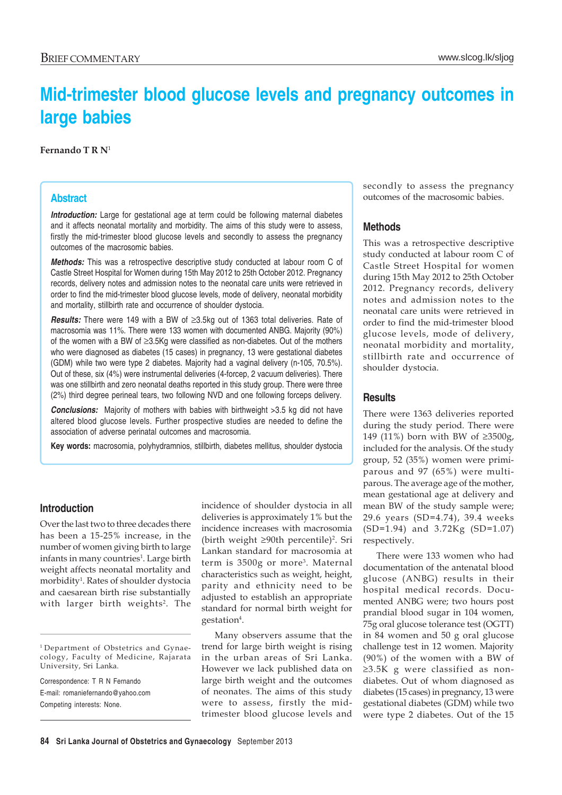# **Mid-trimester blood glucose levels and pregnancy outcomes in large babies**

#### **Fernando T R N**<sup>1</sup>

### **Abstract**

**Introduction:** Large for gestational age at term could be following maternal diabetes and it affects neonatal mortality and morbidity. The aims of this study were to assess, firstly the mid-trimester blood glucose levels and secondly to assess the pregnancy outcomes of the macrosomic babies.

*Methods:* This was a retrospective descriptive study conducted at labour room C of Castle Street Hospital for Women during 15th May 2012 to 25th October 2012. Pregnancy records, delivery notes and admission notes to the neonatal care units were retrieved in order to find the mid-trimester blood glucose levels, mode of delivery, neonatal morbidity and mortality, stillbirth rate and occurrence of shoulder dystocia.

*Results:* There were 149 with a BW of ≥3.5kg out of 1363 total deliveries. Rate of macrosomia was 11%. There were 133 women with documented ANBG. Majority (90%) of the women with a BW of ≥3.5Kg were classified as non-diabetes. Out of the mothers who were diagnosed as diabetes (15 cases) in pregnancy, 13 were gestational diabetes (GDM) while two were type 2 diabetes. Majority had a vaginal delivery (n-105, 70.5%). Out of these, six (4%) were instrumental deliveries (4-forcep, 2 vacuum deliveries). There was one stillbirth and zero neonatal deaths reported in this study group. There were three (2%) third degree perineal tears, two following NVD and one following forceps delivery.

**Conclusions:** Majority of mothers with babies with birthweight >3.5 kg did not have altered blood glucose levels. Further prospective studies are needed to define the association of adverse perinatal outcomes and macrosomia.

**Key words:** macrosomia, polyhydramnios, stillbirth, diabetes mellitus, shoulder dystocia

## **Introduction**

Over the last two to three decades there has been a 15-25% increase, in the number of women giving birth to large infants in many countries<sup>1</sup>. Large birth weight affects neonatal mortality and morbidity<sup>1</sup>. Rates of shoulder dystocia and caesarean birth rise substantially with larger birth weights<sup>2</sup>. The

Correspondence: T R N Fernando E-mail: romaniefernando@yahoo.com Competing interests: None.

incidence of shoulder dystocia in all deliveries is approximately 1% but the incidence increases with macrosomia (birth weight ≥90th percentile)2 . Sri Lankan standard for macrosomia at term is 3500g or more<sup>3</sup>. Maternal characteristics such as weight, height, parity and ethnicity need to be adjusted to establish an appropriate standard for normal birth weight for gestation<sup>4</sup>.

Many observers assume that the trend for large birth weight is rising in the urban areas of Sri Lanka. However we lack published data on large birth weight and the outcomes of neonates. The aims of this study were to assess, firstly the midtrimester blood glucose levels and secondly to assess the pregnancy outcomes of the macrosomic babies.

#### **Methods**

This was a retrospective descriptive study conducted at labour room C of Castle Street Hospital for women during 15th May 2012 to 25th October 2012. Pregnancy records, delivery notes and admission notes to the neonatal care units were retrieved in order to find the mid-trimester blood glucose levels, mode of delivery, neonatal morbidity and mortality, stillbirth rate and occurrence of shoulder dystocia.

### **Results**

There were 1363 deliveries reported during the study period. There were 149 (11%) born with BW of ≥3500g, included for the analysis. Of the study group, 52 (35%) women were primiparous and 97 (65%) were multiparous. The average age of the mother, mean gestational age at delivery and mean BW of the study sample were; 29.6 years (SD=4.74), 39.4 weeks (SD=1.94) and 3.72Kg (SD=1.07) respectively.

There were 133 women who had documentation of the antenatal blood glucose (ANBG) results in their hospital medical records. Documented ANBG were; two hours post prandial blood sugar in 104 women, 75g oral glucose tolerance test (OGTT) in 84 women and 50 g oral glucose challenge test in 12 women. Majority (90%) of the women with a BW of ≥3.5K g were classified as nondiabetes. Out of whom diagnosed as diabetes (15 cases) in pregnancy, 13 were gestational diabetes (GDM) while two were type 2 diabetes. Out of the 15

<sup>1</sup> Department of Obstetrics and Gynaecology, Faculty of Medicine, Rajarata University, Sri Lanka.